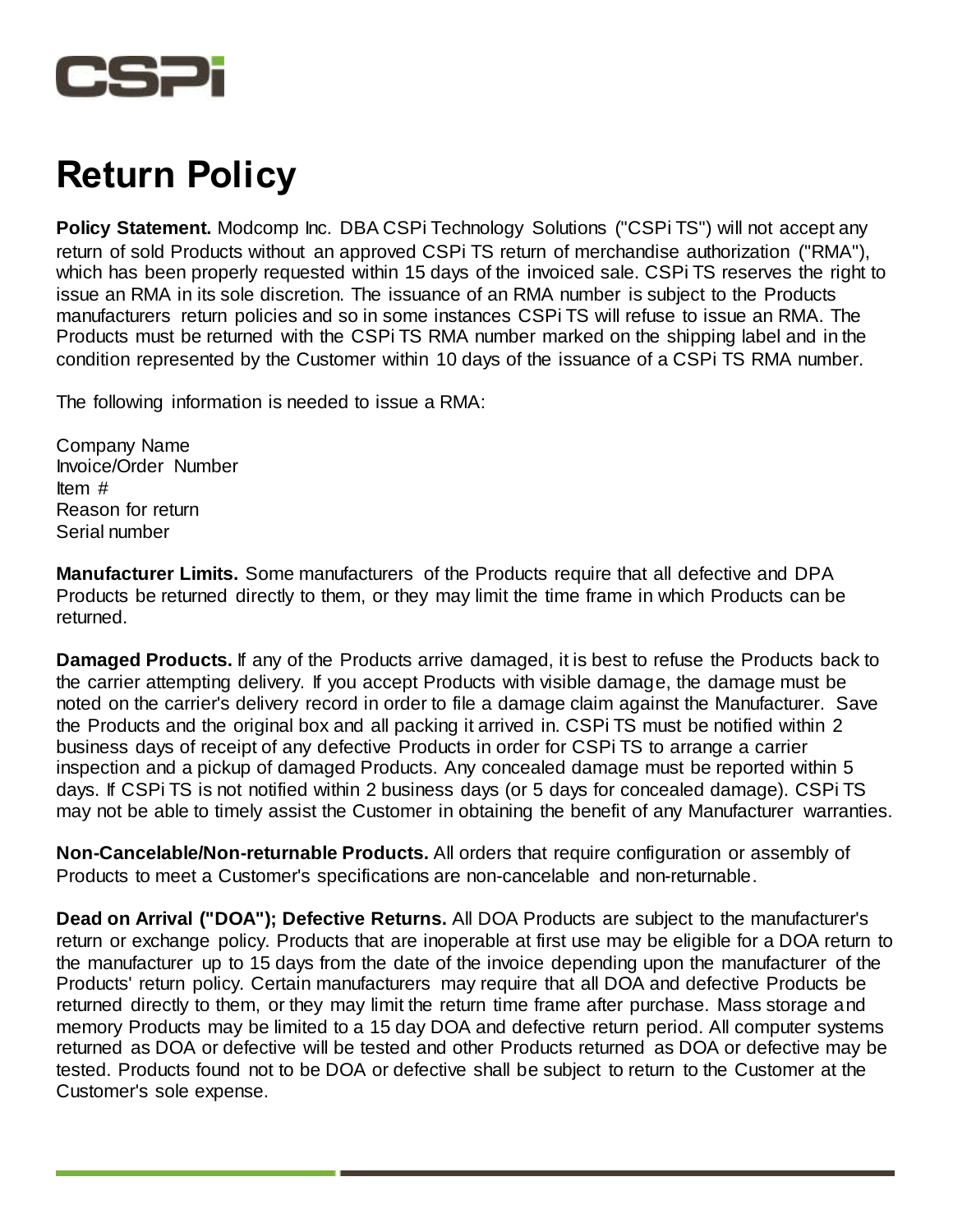

## **Return Policy**

**Policy Statement.** Modcomp Inc. DBA CSPi Technology Solutions ("CSPi TS") will not accept any return of sold Products without an approved CSPi TS return of merchandise authorization ("RMA"), which has been properly requested within 15 days of the invoiced sale. CSPI TS reserves the right to issue an RMA in its sole discretion. The issuance of an RMA number is subject to the Products manufacturers return policies and so in some instances CSPi TS will refuse to issue an RMA. The Products must be returned with the CSPi TS RMA number marked on the shipping label and in the condition represented by the Customer within 10 days of the issuance of a CSPi TS RMA number.

The following information is needed to issue a RMA:

Company Name Invoice/Order Number Item # Reason for return Serial number

**Manufacturer Limits.** Some manufacturers of the Products require that all defective and DPA Products be returned directly to them, or they may limit the time frame in which Products can be returned.

**Damaged Products.** If any of the Products arrive damaged, it is best to refuse the Products back to the carrier attempting delivery. If you accept Products with visible damage, the damage must be noted on the carrier's delivery record in order to file a damage claim against the Manufacturer. Save the Products and the original box and all packing it arrived in. CSPi TS must be notified within 2 business days of receipt of any defective Products in order for CSPi TS to arrange a carrier inspection and a pickup of damaged Products. Any concealed damage must be reported within 5 days. If CSPi TS is not notified within 2 business days (or 5 days for concealed damage). CSPi TS may not be able to timely assist the Customer in obtaining the benefit of any Manufacturer warranties.

**Non-Cancelable/Non-returnable Products.** All orders that require configuration or assembly of Products to meet a Customer's specifications are non-cancelable and non-returnable.

**Dead on Arrival ("DOA"); Defective Returns.** All DOA Products are subject to the manufacturer's return or exchange policy. Products that are inoperable at first use may be eligible for a DOA return to the manufacturer up to 15 days from the date of the invoice depending upon the manufacturer of the Products' return policy. Certain manufacturers may require that all DOA and defective Products be returned directly to them, or they may limit the return time frame after purchase. Mass storage and memory Products may be limited to a 15 day DOA and defective return period. All computer systems returned as DOA or defective will be tested and other Products returned as DOA or defective may be tested. Products found not to be DOA or defective shall be subject to return to the Customer at the Customer's sole expense.